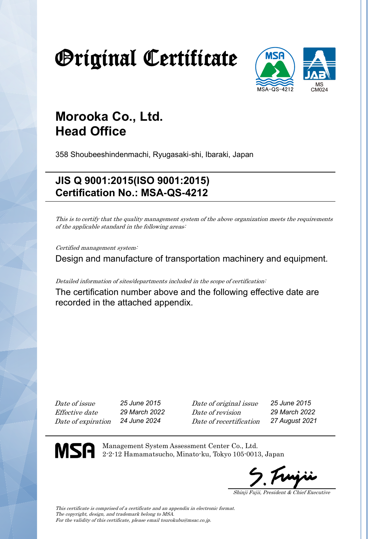# Original Certificate



## **Morooka Co., Ltd. Head Office**

358 Shoubeeshindenmachi, Ryugasaki-shi, Ibaraki, Japan

### **JIS Q 9001:2015(ISO 9001:2015) Certification No.: MSA-QS-4212**

This is to certify that the quality management system of the above organization meets the requirements of the applicable standard in the following areas:

Certified management system:

Design and manufacture of transportation machinery and equipment.

Detailed information of sites/departments included in the scope of certification:

The certification number above and the following effective date are recorded in the attached appendix.

Date of issue *25 June 2015* Date of original issue *25 June 2015* Effective date *29 March 2022* Date of revision *29 March 2022* Date of expiration *24 June 2024* Date of recertification *27 August 2021*

**MSA** 

Management System Assessment Center Co., Ltd. 2-2-12 Hamamatsucho, Minato-ku, Tokyo 105-0013, Japan

Shinji Fujii, President & Chief Executive

This certificate is comprised of a certificate and an appendix in electronic format. The copyright, design, and trademark belong to MSA. For the validity of this certificate, please email tourokubu@msac.co.jp.